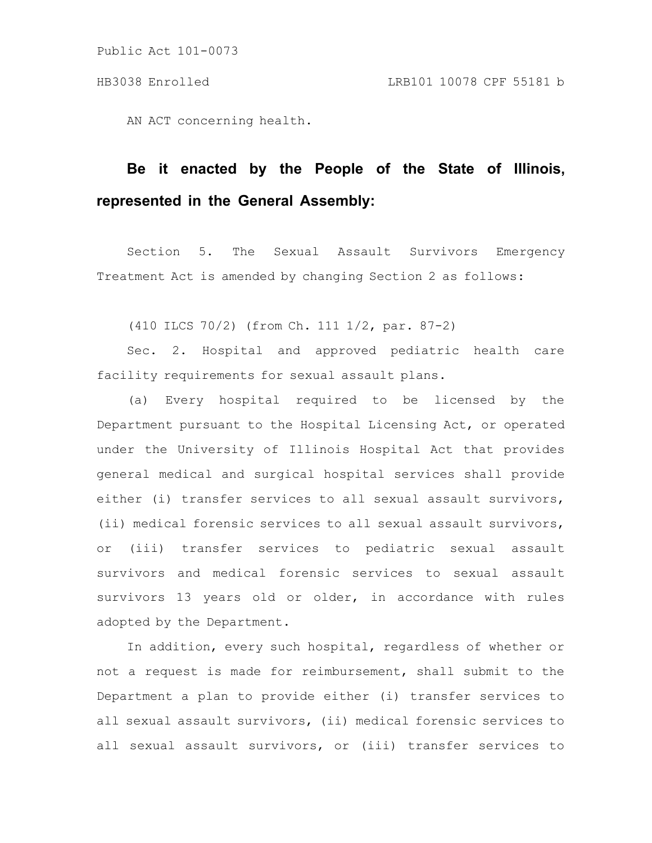AN ACT concerning health.

# **Be it enacted by the People of the State of Illinois, represented in the General Assembly:**

Section 5. The Sexual Assault Survivors Emergency Treatment Act is amended by changing Section 2 as follows:

(410 ILCS 70/2) (from Ch. 111 1/2, par. 87-2)

Sec. 2. Hospital and approved pediatric health care facility requirements for sexual assault plans.

(a) Every hospital required to be licensed by the Department pursuant to the Hospital Licensing Act, or operated under the University of Illinois Hospital Act that provides general medical and surgical hospital services shall provide either (i) transfer services to all sexual assault survivors, (ii) medical forensic services to all sexual assault survivors, or (iii) transfer services to pediatric sexual assault survivors and medical forensic services to sexual assault survivors 13 years old or older, in accordance with rules adopted by the Department.

In addition, every such hospital, regardless of whether or not a request is made for reimbursement, shall submit to the Department a plan to provide either (i) transfer services to all sexual assault survivors, (ii) medical forensic services to all sexual assault survivors, or (iii) transfer services to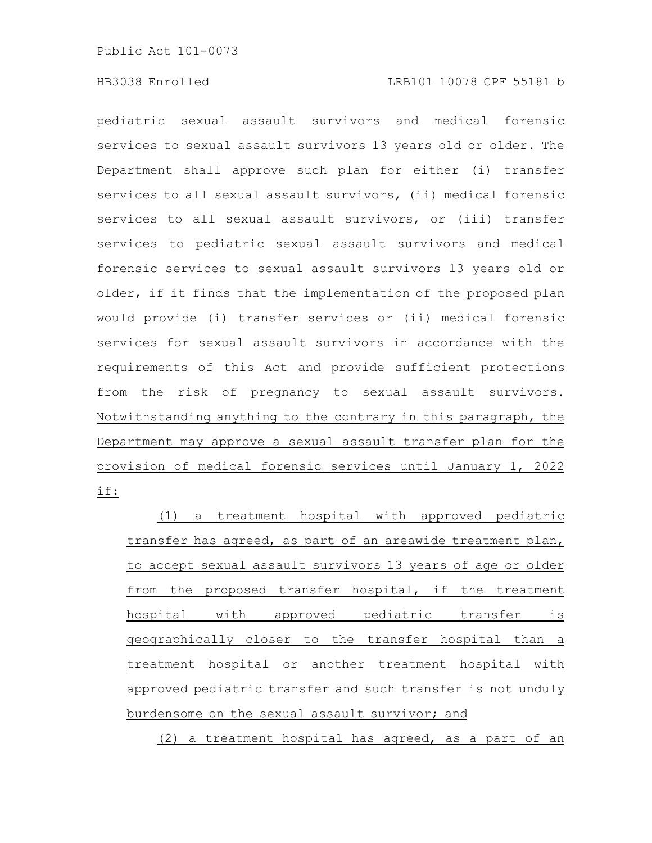pediatric sexual assault survivors and medical forensic services to sexual assault survivors 13 years old or older. The Department shall approve such plan for either (i) transfer services to all sexual assault survivors, (ii) medical forensic services to all sexual assault survivors, or (iii) transfer services to pediatric sexual assault survivors and medical forensic services to sexual assault survivors 13 years old or older, if it finds that the implementation of the proposed plan would provide (i) transfer services or (ii) medical forensic services for sexual assault survivors in accordance with the requirements of this Act and provide sufficient protections from the risk of pregnancy to sexual assault survivors. Notwithstanding anything to the contrary in this paragraph, the Department may approve a sexual assault transfer plan for the provision of medical forensic services until January 1, 2022 if:

(1) a treatment hospital with approved pediatric transfer has agreed, as part of an areawide treatment plan, to accept sexual assault survivors 13 years of age or older from the proposed transfer hospital, if the treatment hospital with approved pediatric transfer is geographically closer to the transfer hospital than a treatment hospital or another treatment hospital with approved pediatric transfer and such transfer is not unduly burdensome on the sexual assault survivor; and

(2) a treatment hospital has agreed, as a part of an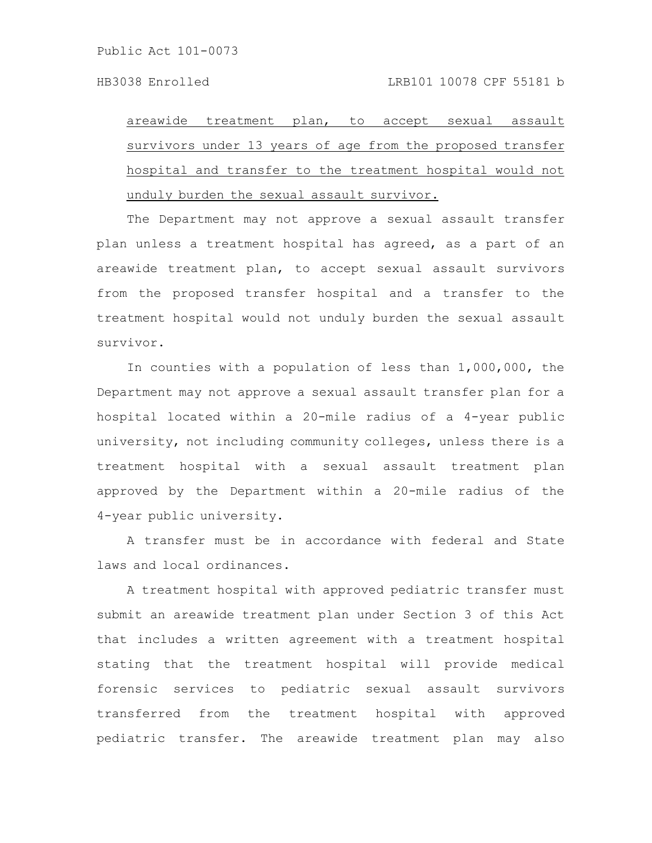areawide treatment plan, to accept sexual assault survivors under 13 years of age from the proposed transfer hospital and transfer to the treatment hospital would not unduly burden the sexual assault survivor.

The Department may not approve a sexual assault transfer plan unless a treatment hospital has agreed, as a part of an areawide treatment plan, to accept sexual assault survivors from the proposed transfer hospital and a transfer to the treatment hospital would not unduly burden the sexual assault survivor.

In counties with a population of less than 1,000,000, the Department may not approve a sexual assault transfer plan for a hospital located within a 20-mile radius of a 4-year public university, not including community colleges, unless there is a treatment hospital with a sexual assault treatment plan approved by the Department within a 20-mile radius of the 4-year public university.

A transfer must be in accordance with federal and State laws and local ordinances.

A treatment hospital with approved pediatric transfer must submit an areawide treatment plan under Section 3 of this Act that includes a written agreement with a treatment hospital stating that the treatment hospital will provide medical forensic services to pediatric sexual assault survivors transferred from the treatment hospital with approved pediatric transfer. The areawide treatment plan may also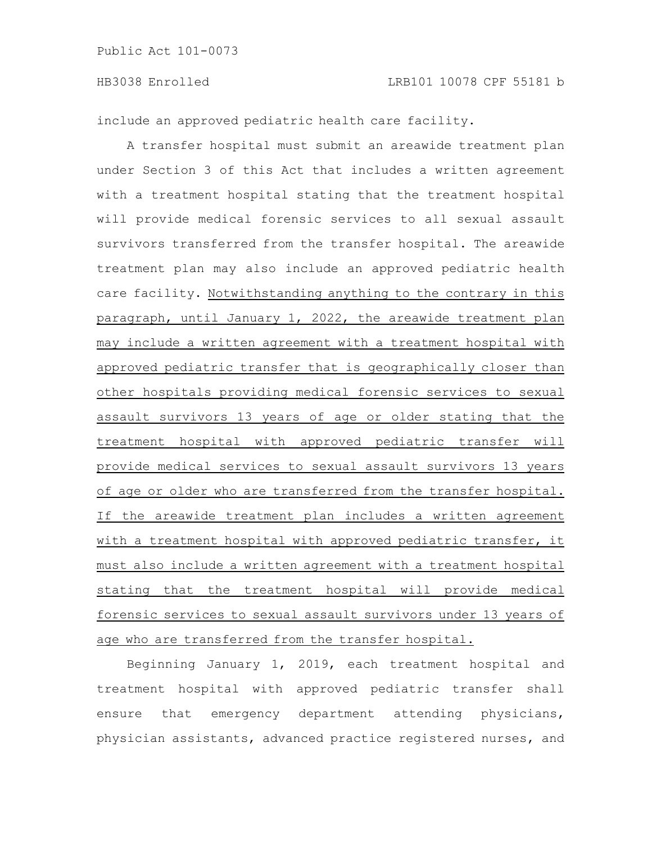include an approved pediatric health care facility.

A transfer hospital must submit an areawide treatment plan under Section 3 of this Act that includes a written agreement with a treatment hospital stating that the treatment hospital will provide medical forensic services to all sexual assault survivors transferred from the transfer hospital. The areawide treatment plan may also include an approved pediatric health care facility. Notwithstanding anything to the contrary in this paragraph, until January 1, 2022, the areawide treatment plan may include a written agreement with a treatment hospital with approved pediatric transfer that is geographically closer than other hospitals providing medical forensic services to sexual assault survivors 13 years of age or older stating that the treatment hospital with approved pediatric transfer will provide medical services to sexual assault survivors 13 years of age or older who are transferred from the transfer hospital. If the areawide treatment plan includes a written agreement with a treatment hospital with approved pediatric transfer, it must also include a written agreement with a treatment hospital stating that the treatment hospital will provide medical forensic services to sexual assault survivors under 13 years of age who are transferred from the transfer hospital.

Beginning January 1, 2019, each treatment hospital and treatment hospital with approved pediatric transfer shall ensure that emergency department attending physicians, physician assistants, advanced practice registered nurses, and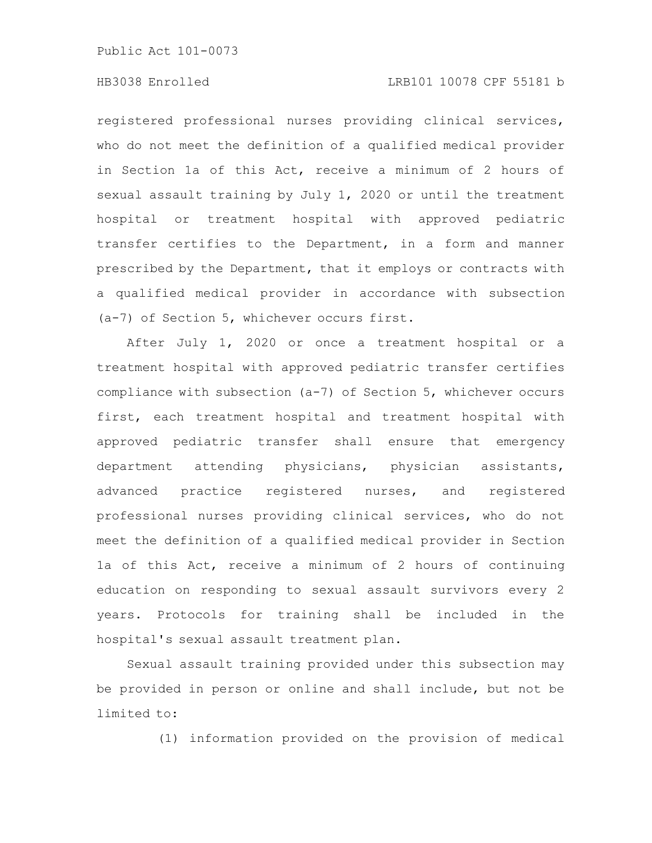Public Act 101-0073

# HB3038 Enrolled LRB101 10078 CPF 55181 b

registered professional nurses providing clinical services, who do not meet the definition of a qualified medical provider in Section 1a of this Act, receive a minimum of 2 hours of sexual assault training by July 1, 2020 or until the treatment hospital or treatment hospital with approved pediatric transfer certifies to the Department, in a form and manner prescribed by the Department, that it employs or contracts with a qualified medical provider in accordance with subsection (a-7) of Section 5, whichever occurs first.

After July 1, 2020 or once a treatment hospital or a treatment hospital with approved pediatric transfer certifies compliance with subsection (a-7) of Section 5, whichever occurs first, each treatment hospital and treatment hospital with approved pediatric transfer shall ensure that emergency department attending physicians, physician assistants, advanced practice registered nurses, and registered professional nurses providing clinical services, who do not meet the definition of a qualified medical provider in Section 1a of this Act, receive a minimum of 2 hours of continuing education on responding to sexual assault survivors every 2 years. Protocols for training shall be included in the hospital's sexual assault treatment plan.

Sexual assault training provided under this subsection may be provided in person or online and shall include, but not be limited to:

(1) information provided on the provision of medical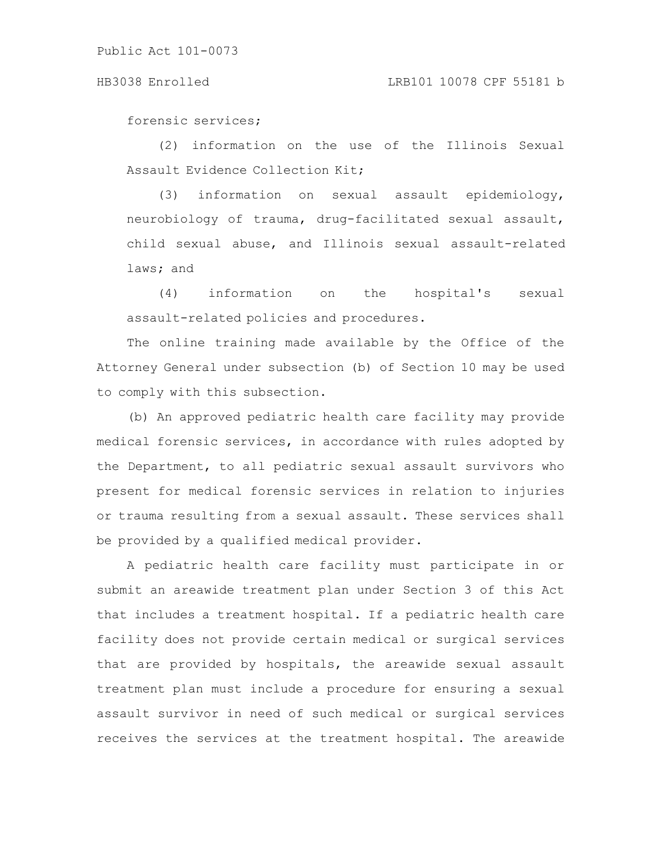#### HB3038 Enrolled LRB101 10078 CPF 55181 b

forensic services;

(2) information on the use of the Illinois Sexual Assault Evidence Collection Kit;

(3) information on sexual assault epidemiology, neurobiology of trauma, drug-facilitated sexual assault, child sexual abuse, and Illinois sexual assault-related laws; and

(4) information on the hospital's sexual assault-related policies and procedures.

The online training made available by the Office of the Attorney General under subsection (b) of Section 10 may be used to comply with this subsection.

(b) An approved pediatric health care facility may provide medical forensic services, in accordance with rules adopted by the Department, to all pediatric sexual assault survivors who present for medical forensic services in relation to injuries or trauma resulting from a sexual assault. These services shall be provided by a qualified medical provider.

A pediatric health care facility must participate in or submit an areawide treatment plan under Section 3 of this Act that includes a treatment hospital. If a pediatric health care facility does not provide certain medical or surgical services that are provided by hospitals, the areawide sexual assault treatment plan must include a procedure for ensuring a sexual assault survivor in need of such medical or surgical services receives the services at the treatment hospital. The areawide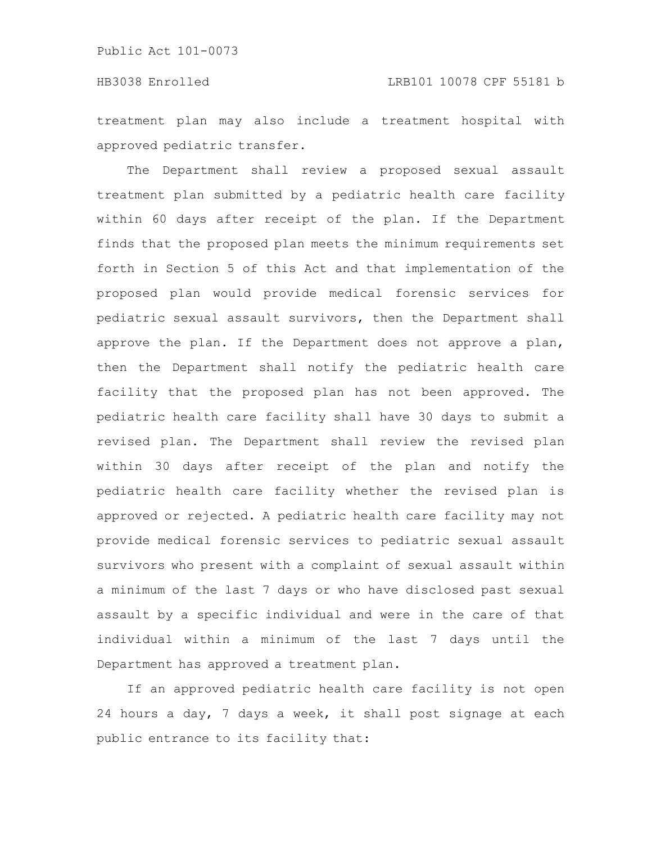# HB3038 Enrolled LRB101 10078 CPF 55181 b

treatment plan may also include a treatment hospital with approved pediatric transfer.

The Department shall review a proposed sexual assault treatment plan submitted by a pediatric health care facility within 60 days after receipt of the plan. If the Department finds that the proposed plan meets the minimum requirements set forth in Section 5 of this Act and that implementation of the proposed plan would provide medical forensic services for pediatric sexual assault survivors, then the Department shall approve the plan. If the Department does not approve a plan, then the Department shall notify the pediatric health care facility that the proposed plan has not been approved. The pediatric health care facility shall have 30 days to submit a revised plan. The Department shall review the revised plan within 30 days after receipt of the plan and notify the pediatric health care facility whether the revised plan is approved or rejected. A pediatric health care facility may not provide medical forensic services to pediatric sexual assault survivors who present with a complaint of sexual assault within a minimum of the last 7 days or who have disclosed past sexual assault by a specific individual and were in the care of that individual within a minimum of the last 7 days until the Department has approved a treatment plan.

If an approved pediatric health care facility is not open 24 hours a day, 7 days a week, it shall post signage at each public entrance to its facility that: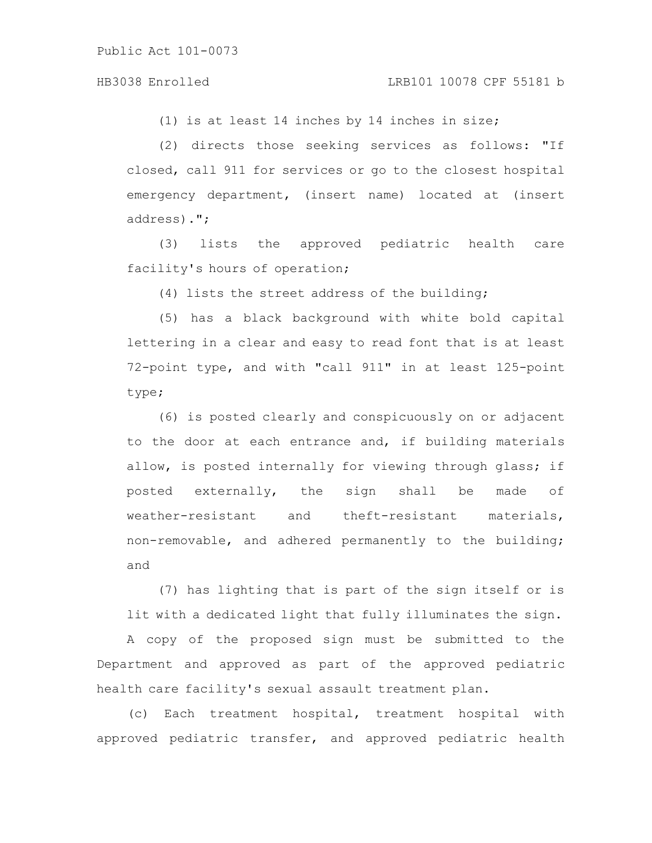### HB3038 Enrolled LRB101 10078 CPF 55181 b

(1) is at least 14 inches by 14 inches in size;

(2) directs those seeking services as follows: "If closed, call 911 for services or go to the closest hospital emergency department, (insert name) located at (insert address).";

(3) lists the approved pediatric health care facility's hours of operation;

(4) lists the street address of the building;

(5) has a black background with white bold capital lettering in a clear and easy to read font that is at least 72-point type, and with "call 911" in at least 125-point type;

(6) is posted clearly and conspicuously on or adjacent to the door at each entrance and, if building materials allow, is posted internally for viewing through glass; if posted externally, the sign shall be made of weather-resistant and theft-resistant materials, non-removable, and adhered permanently to the building; and

(7) has lighting that is part of the sign itself or is lit with a dedicated light that fully illuminates the sign.

A copy of the proposed sign must be submitted to the Department and approved as part of the approved pediatric health care facility's sexual assault treatment plan.

(c) Each treatment hospital, treatment hospital with approved pediatric transfer, and approved pediatric health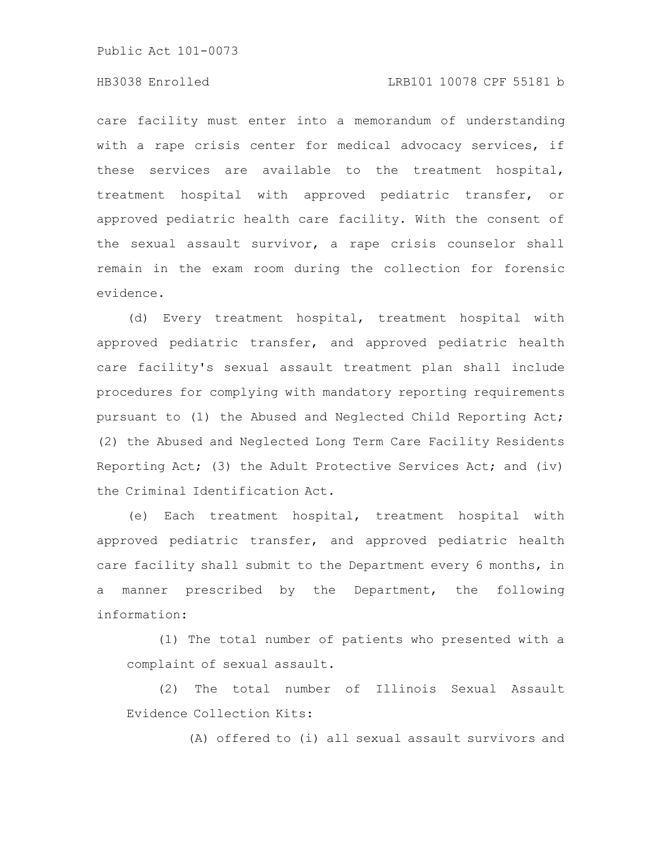Public Act 101-0073

# HB3038 Enrolled LRB101 10078 CPF 55181 b

care facility must enter into a memorandum of understanding with a rape crisis center for medical advocacy services, if these services are available to the treatment hospital, treatment hospital with approved pediatric transfer, or approved pediatric health care facility. With the consent of the sexual assault survivor, a rape crisis counselor shall remain in the exam room during the collection for forensic evidence.

(d) Every treatment hospital, treatment hospital with approved pediatric transfer, and approved pediatric health care facility's sexual assault treatment plan shall include procedures for complying with mandatory reporting requirements pursuant to (1) the Abused and Neglected Child Reporting Act; (2) the Abused and Neglected Long Term Care Facility Residents Reporting Act; (3) the Adult Protective Services Act; and (iv) the Criminal Identification Act.

(e) Each treatment hospital, treatment hospital with approved pediatric transfer, and approved pediatric health care facility shall submit to the Department every 6 months, in a manner prescribed by the Department, the following information:

(1) The total number of patients who presented with a complaint of sexual assault.

(2) The total number of Illinois Sexual Assault Evidence Collection Kits:

(A) offered to (i) all sexual assault survivors and